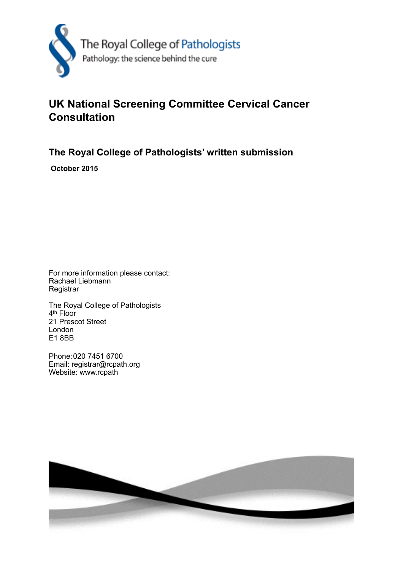

## **UK National Screening Committee Cervical Cancer Consultation**

**The Royal College of Pathologists' written submission**

 **October 2015**

For more information please contact: Rachael Liebmann **Registrar** 

The Royal College of Pathologists 4th Floor 21 Prescot Street London E1 8BB

Phone: 020 7451 6700 Email: registrar@rcpath.org Website: www.rcpath

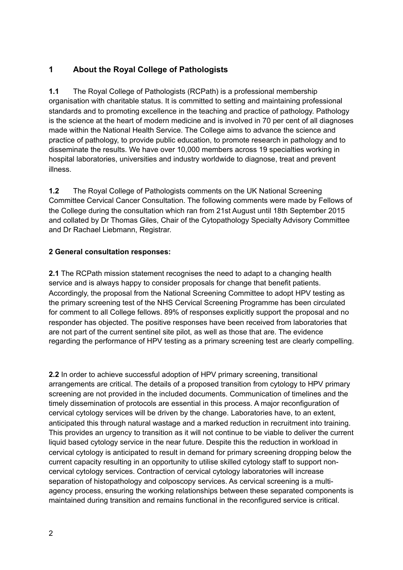## **1 About the Royal College of Pathologists**

**1.1** The Royal College of Pathologists (RCPath) is a professional membership organisation with charitable status. It is committed to setting and maintaining professional standards and to promoting excellence in the teaching and practice of pathology. Pathology is the science at the heart of modern medicine and is involved in 70 per cent of all diagnoses made within the National Health Service. The College aims to advance the science and practice of pathology, to provide public education, to promote research in pathology and to disseminate the results. We have over 10,000 members across 19 specialties working in hospital laboratories, universities and industry worldwide to diagnose, treat and prevent illness.

**1.2** The Royal College of Pathologists comments on the UK National Screening Committee Cervical Cancer Consultation. The following comments were made by Fellows of the College during the consultation which ran from 21st August until 18th September 2015 and collated by Dr Thomas Giles, Chair of the Cytopathology Specialty Advisory Committee and Dr Rachael Liebmann, Registrar.

## **2 General consultation responses:**

**2.1** The RCPath mission statement recognises the need to adapt to a changing health service and is always happy to consider proposals for change that benefit patients. Accordingly, the proposal from the National Screening Committee to adopt HPV testing as the primary screening test of the NHS Cervical Screening Programme has been circulated for comment to all College fellows. 89% of responses explicitly support the proposal and no responder has objected. The positive responses have been received from laboratories that are not part of the current sentinel site pilot, as well as those that are. The evidence regarding the performance of HPV testing as a primary screening test are clearly compelling.

**2.2** In order to achieve successful adoption of HPV primary screening, transitional arrangements are critical. The details of a proposed transition from cytology to HPV primary screening are not provided in the included documents. Communication of timelines and the timely dissemination of protocols are essential in this process. A major reconfiguration of cervical cytology services will be driven by the change. Laboratories have, to an extent, anticipated this through natural wastage and a marked reduction in recruitment into training. This provides an urgency to transition as it will not continue to be viable to deliver the current liquid based cytology service in the near future. Despite this the reduction in workload in cervical cytology is anticipated to result in demand for primary screening dropping below the current capacity resulting in an opportunity to utilise skilled cytology staff to support noncervical cytology services. Contraction of cervical cytology laboratories will increase separation of histopathology and colposcopy services. As cervical screening is a multiagency process, ensuring the working relationships between these separated components is maintained during transition and remains functional in the reconfigured service is critical.